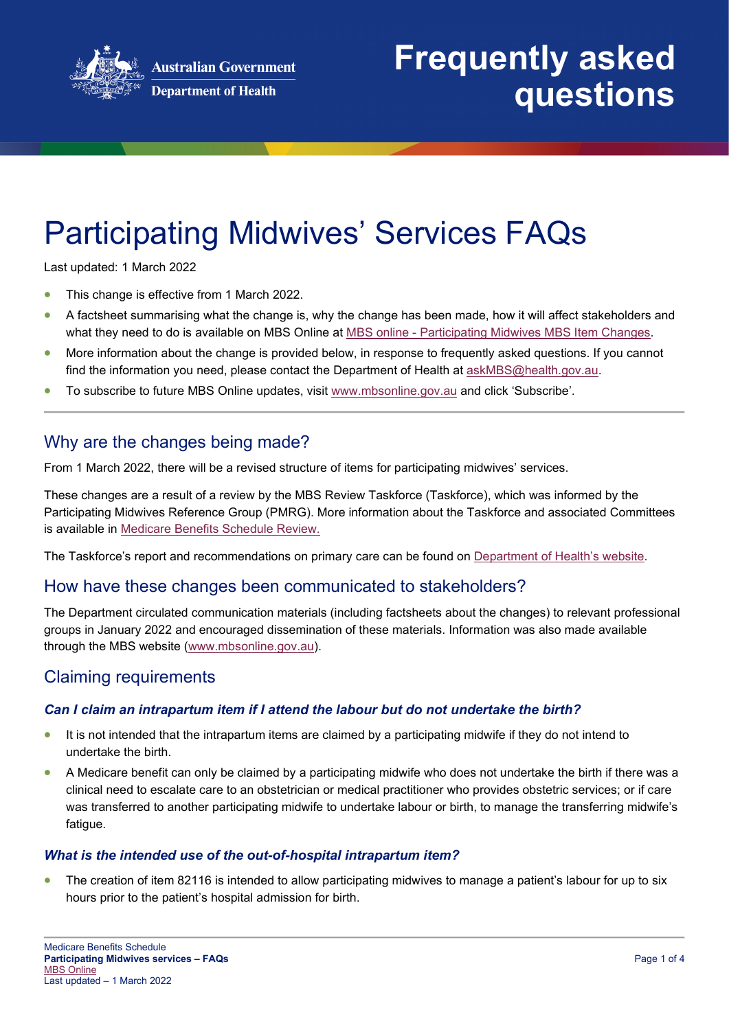

# **Frequently asked questions**

# Participating Midwives' Services FAQs

Last updated: 1 March 2022

- This change is effective from 1 March 2022.
- A factsheet summarising what the change is, why the change has been made, how it will affect stakeholders and what they need to do is available on MBS Online at MBS online - [Participating Midwives MBS Item Changes.](http://www.mbsonline.gov.au/internet/mbsonline/publishing.nsf/Content/Factsheet-Midwifery-March-22)
- More information about the change is provided below, in response to frequently asked questions. If you cannot find the information you need, please contact the Department of Health at [askMBS@health.gov.au.](mailto:askMBS@health.gov.au)
- To subscribe to future MBS Online updates, visit [www.mbsonline.gov.au](http://www.mbsonline.gov.au/) and click 'Subscribe'.

## Why are the changes being made?

From 1 March 2022, there will be a revised structure of items for participating midwives' services.

These changes are a result of a review by the MBS Review Taskforce (Taskforce), which was informed by the Participating Midwives Reference Group (PMRG). More information about the Taskforce and associated Committees is available in [Medicare Benefits Schedule Review.](http://www.health.gov.au/internet/main/publishing.nsf/content/mbsreviewtaskforce)

The Taskforce's report and recommendations on primary care can be found on [Department of Health's](https://www.health.gov.au/resources/collections/mbs-review-final-taskforce-reports-findings-and-recommendations) website.

## How have these changes been communicated to stakeholders?

The Department circulated communication materials (including factsheets about the changes) to relevant professional groups in January 2022 and encouraged dissemination of these materials. Information was also made available through the MBS website [\(www.mbsonline.gov.au\)](http://www.mbsonline.gov.au/).

## Claiming requirements

#### *Can I claim an intrapartum item if I attend the labour but do not undertake the birth?*

- It is not intended that the intrapartum items are claimed by a participating midwife if they do not intend to undertake the birth.
- A Medicare benefit can only be claimed by a participating midwife who does not undertake the birth if there was a clinical need to escalate care to an obstetrician or medical practitioner who provides obstetric services; or if care was transferred to another participating midwife to undertake labour or birth, to manage the transferring midwife's fatigue.

#### *What is the intended use of the out-of-hospital intrapartum item?*

• The creation of item 82116 is intended to allow participating midwives to manage a patient's labour for up to six hours prior to the patient's hospital admission for birth.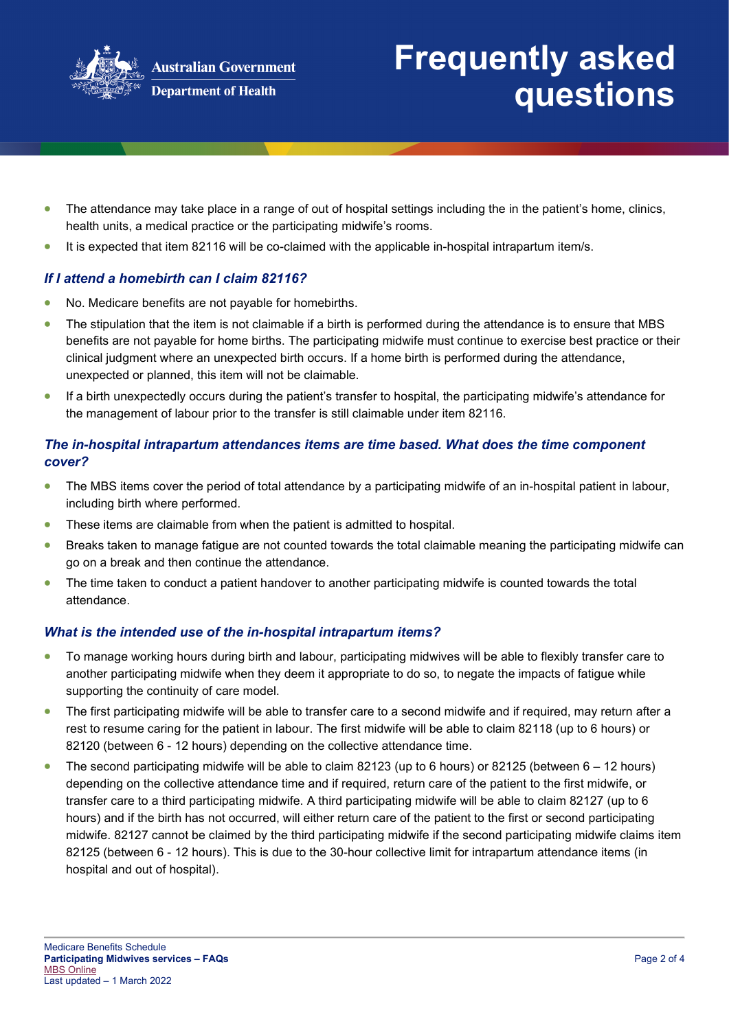

# **Frequently asked questions**

- The attendance may take place in a range of out of hospital settings including the in the patient's home, clinics, health units, a medical practice or the participating midwife's rooms.
- It is expected that item 82116 will be co-claimed with the applicable in-hospital intrapartum item/s.

#### *If I attend a homebirth can I claim 82116?*

- No. Medicare benefits are not payable for homebirths.
- The stipulation that the item is not claimable if a birth is performed during the attendance is to ensure that MBS benefits are not payable for home births. The participating midwife must continue to exercise best practice or their clinical judgment where an unexpected birth occurs. If a home birth is performed during the attendance, unexpected or planned, this item will not be claimable.
- If a birth unexpectedly occurs during the patient's transfer to hospital, the participating midwife's attendance for the management of labour prior to the transfer is still claimable under item 82116.

### *The in-hospital intrapartum attendances items are time based. What does the time component cover?*

- The MBS items cover the period of total attendance by a participating midwife of an in-hospital patient in labour, including birth where performed.
- These items are claimable from when the patient is admitted to hospital.
- Breaks taken to manage fatigue are not counted towards the total claimable meaning the participating midwife can go on a break and then continue the attendance.
- The time taken to conduct a patient handover to another participating midwife is counted towards the total attendance.

#### *What is the intended use of the in-hospital intrapartum items?*

- To manage working hours during birth and labour, participating midwives will be able to flexibly transfer care to another participating midwife when they deem it appropriate to do so, to negate the impacts of fatigue while supporting the continuity of care model.
- The first participating midwife will be able to transfer care to a second midwife and if required, may return after a rest to resume caring for the patient in labour. The first midwife will be able to claim 82118 (up to 6 hours) or 82120 (between 6 - 12 hours) depending on the collective attendance time.
- The second participating midwife will be able to claim 82123 (up to 6 hours) or 82125 (between 6 12 hours) depending on the collective attendance time and if required, return care of the patient to the first midwife, or transfer care to a third participating midwife. A third participating midwife will be able to claim 82127 (up to 6 hours) and if the birth has not occurred, will either return care of the patient to the first or second participating midwife. 82127 cannot be claimed by the third participating midwife if the second participating midwife claims item 82125 (between 6 - 12 hours). This is due to the 30-hour collective limit for intrapartum attendance items (in hospital and out of hospital).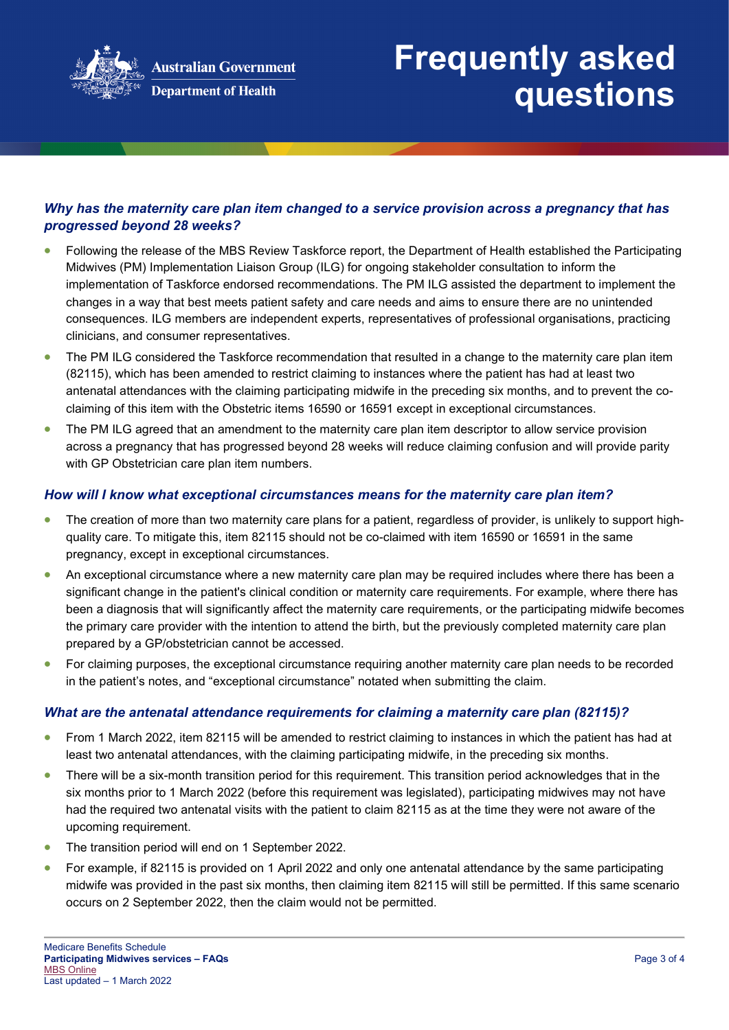

### *Why has the maternity care plan item changed to a service provision across a pregnancy that has progressed beyond 28 weeks?*

- Following the release of the MBS Review Taskforce report, the Department of Health established the Participating Midwives (PM) Implementation Liaison Group (ILG) for ongoing stakeholder consultation to inform the implementation of Taskforce endorsed recommendations. The PM ILG assisted the department to implement the changes in a way that best meets patient safety and care needs and aims to ensure there are no unintended consequences. ILG members are independent experts, representatives of professional organisations, practicing clinicians, and consumer representatives.
- The PM ILG considered the Taskforce recommendation that resulted in a change to the maternity care plan item (82115), which has been amended to restrict claiming to instances where the patient has had at least two antenatal attendances with the claiming participating midwife in the preceding six months, and to prevent the coclaiming of this item with the Obstetric items 16590 or 16591 except in exceptional circumstances.
- The PM ILG agreed that an amendment to the maternity care plan item descriptor to allow service provision across a pregnancy that has progressed beyond 28 weeks will reduce claiming confusion and will provide parity with GP Obstetrician care plan item numbers.

#### *How will I know what exceptional circumstances means for the maternity care plan item?*

- The creation of more than two maternity care plans for a patient, regardless of provider, is unlikely to support highquality care. To mitigate this, item 82115 should not be co-claimed with item 16590 or 16591 in the same pregnancy, except in exceptional circumstances.
- An exceptional circumstance where a new maternity care plan may be required includes where there has been a significant change in the patient's clinical condition or maternity care requirements. For example, where there has been a diagnosis that will significantly affect the maternity care requirements, or the participating midwife becomes the primary care provider with the intention to attend the birth, but the previously completed maternity care plan prepared by a GP/obstetrician cannot be accessed.
- For claiming purposes, the exceptional circumstance requiring another maternity care plan needs to be recorded in the patient's notes, and "exceptional circumstance" notated when submitting the claim.

#### *What are the antenatal attendance requirements for claiming a maternity care plan (82115)?*

- From 1 March 2022, item 82115 will be amended to restrict claiming to instances in which the patient has had at least two antenatal attendances, with the claiming participating midwife, in the preceding six months.
- There will be a six-month transition period for this requirement. This transition period acknowledges that in the six months prior to 1 March 2022 (before this requirement was legislated), participating midwives may not have had the required two antenatal visits with the patient to claim 82115 as at the time they were not aware of the upcoming requirement.
- The transition period will end on 1 September 2022.
- For example, if 82115 is provided on 1 April 2022 and only one antenatal attendance by the same participating midwife was provided in the past six months, then claiming item 82115 will still be permitted. If this same scenario occurs on 2 September 2022, then the claim would not be permitted.